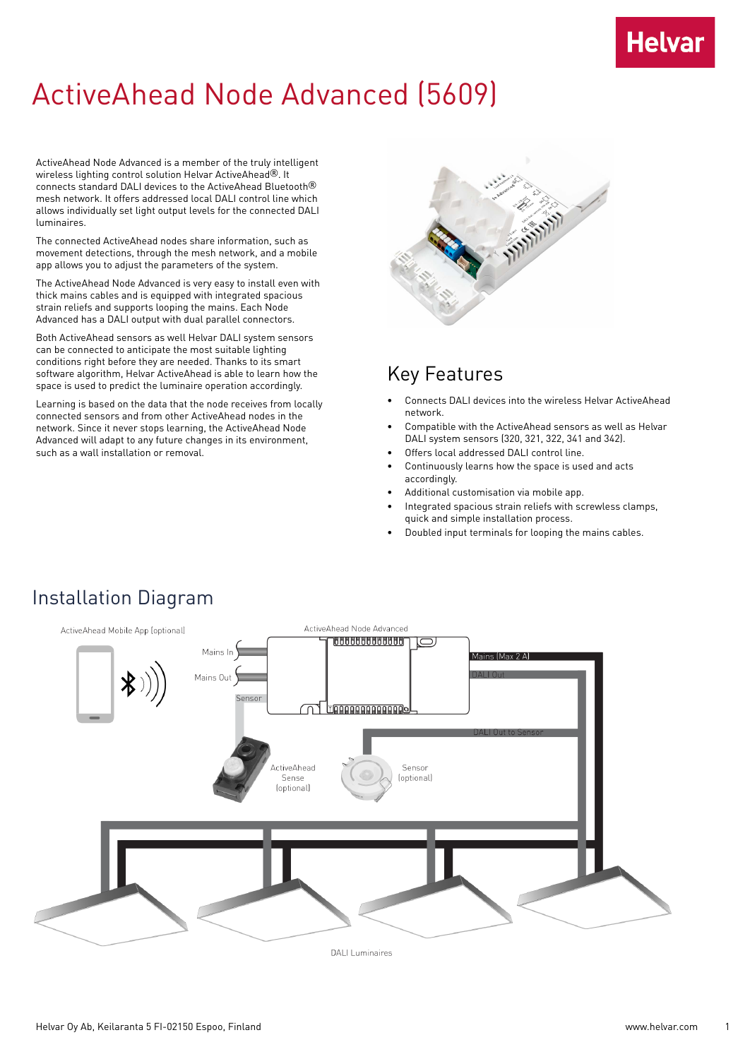## **Helvar**

## ActiveAhead Node Advanced (5609)

ActiveAhead Node Advanced is a member of the truly intelligent wireless lighting control solution Helvar ActiveAhead®. It connects standard DALI devices to the ActiveAhead Bluetooth® mesh network. It offers addressed local DALI control line which allows individually set light output levels for the connected DALI luminaires.

The connected ActiveAhead nodes share information, such as movement detections, through the mesh network, and a mobile app allows you to adjust the parameters of the system.

The ActiveAhead Node Advanced is very easy to install even with thick mains cables and is equipped with integrated spacious strain reliefs and supports looping the mains. Each Node Advanced has a DALI output with dual parallel connectors.

Both ActiveAhead sensors as well Helvar DALI system sensors can be connected to anticipate the most suitable lighting conditions right before they are needed. Thanks to its smart software algorithm, Helvar ActiveAhead is able to learn how the space is used to predict the luminaire operation accordingly.

Learning is based on the data that the node receives from locally connected sensors and from other ActiveAhead nodes in the network. Since it never stops learning, the ActiveAhead Node Advanced will adapt to any future changes in its environment, such as a wall installation or removal.



#### Key Features

- Connects DALI devices into the wireless Helvar ActiveAhead network.
- Compatible with the ActiveAhead sensors as well as Helvar DALI system sensors (320, 321, 322, 341 and 342).
- Offers local addressed DALI control line.
- Continuously learns how the space is used and acts accordingly.
- Additional customisation via mobile app.
- Integrated spacious strain reliefs with screwless clamps, quick and simple installation process.
- Doubled input terminals for looping the mains cables.



**DALI** Luminaires

Installation Diagram